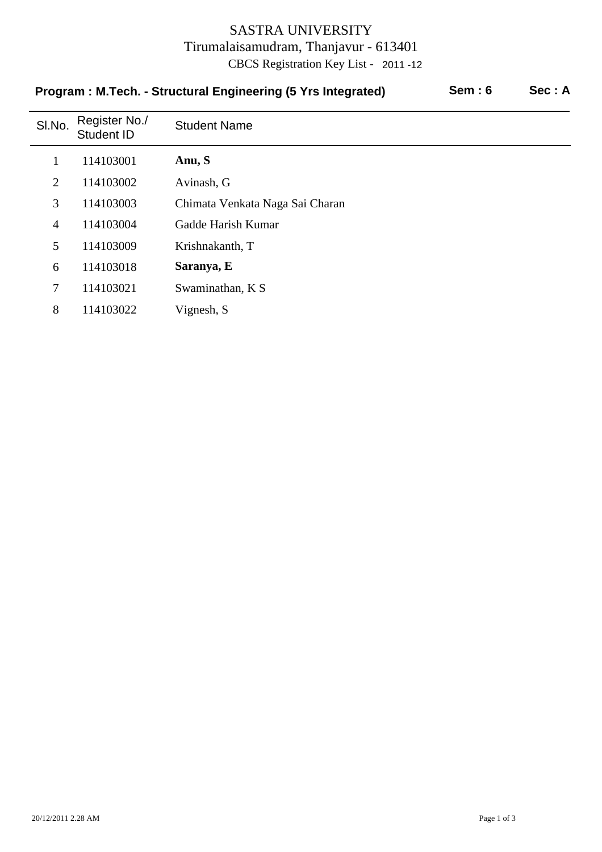## SASTRA UNIVERSITY Tirumalaisamudram, Thanjavur - 613401 CBCS Registration Key List - 2011 -12

|                | Program: M.Tech. - Structural Engineering (5 Yrs Integrated) | Sem:6                           | Sec: A |  |
|----------------|--------------------------------------------------------------|---------------------------------|--------|--|
| SI.No.         | Register No./<br>Student ID                                  | <b>Student Name</b>             |        |  |
| 1              | 114103001                                                    | Anu, S                          |        |  |
| $\overline{2}$ | 114103002                                                    | Avinash, G                      |        |  |
| 3              | 114103003                                                    | Chimata Venkata Naga Sai Charan |        |  |
| $\overline{4}$ | 114103004                                                    | Gadde Harish Kumar              |        |  |
| 5              | 114103009                                                    | Krishnakanth, T                 |        |  |
| 6              | 114103018                                                    | Saranya, E                      |        |  |
| 7              | 114103021                                                    | Swaminathan, K S                |        |  |
| 8              | 114103022                                                    | Vignesh, S                      |        |  |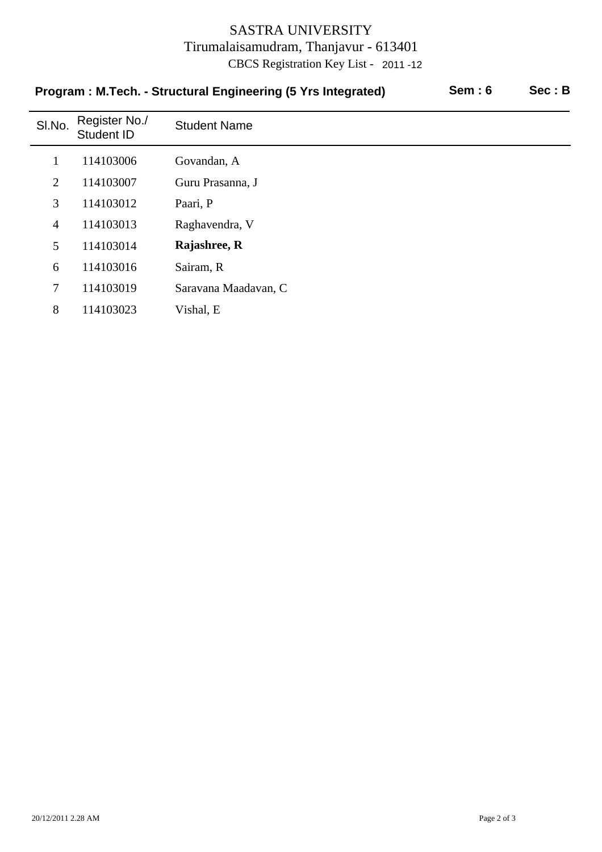## SASTRA UNIVERSITY Tirumalaisamudram, Thanjavur - 613401 CBCS Registration Key List - 2011 -12

|                | Program: M.Tech. - Structural Engineering (5 Yrs Integrated) | Sem:6                | Sec: B |  |
|----------------|--------------------------------------------------------------|----------------------|--------|--|
| SI.No.         | Register No./<br>Student ID                                  | <b>Student Name</b>  |        |  |
| $\mathbf 1$    | 114103006                                                    | Govandan, A          |        |  |
| 2              | 114103007                                                    | Guru Prasanna, J     |        |  |
| 3              | 114103012                                                    | Paari, P             |        |  |
| $\overline{4}$ | 114103013                                                    | Raghavendra, V       |        |  |
| 5              | 114103014                                                    | Rajashree, R         |        |  |
| 6              | 114103016                                                    | Sairam, R            |        |  |
| $\overline{7}$ | 114103019                                                    | Saravana Maadavan, C |        |  |
| 8              | 114103023                                                    | Vishal, E            |        |  |